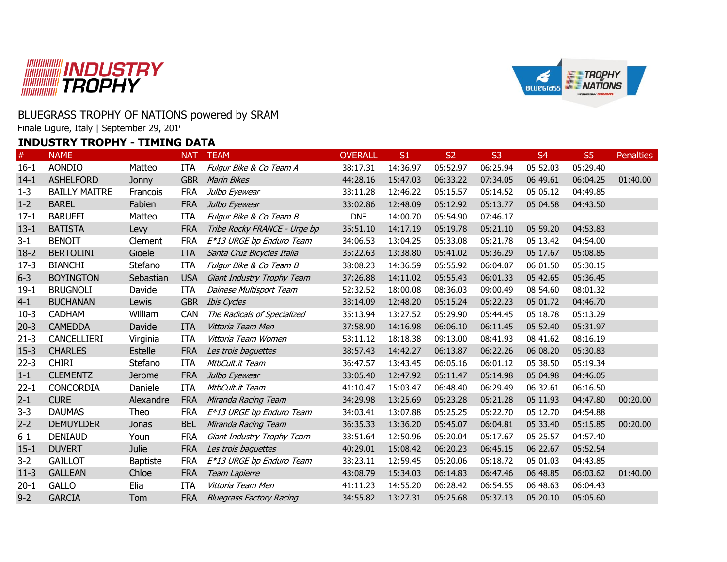



## BLUEGRASS TROPHY OF NATIONS powered by SRAM

Finale Ligure, Italy | September 29, 201

## **INDUSTRY TROPHY - TIMING DATA**

| $\#$     | <b>NAME</b>          |                 | <b>NAT</b> | <b>TEAM</b>                     | <b>OVERALL</b> | S1       | <b>S2</b> | S <sub>3</sub> | S <sub>4</sub> | S <sub>5</sub> | <b>Penalties</b> |
|----------|----------------------|-----------------|------------|---------------------------------|----------------|----------|-----------|----------------|----------------|----------------|------------------|
| $16 - 1$ | <b>AONDIO</b>        | Matteo          | ITA        | Fulgur Bike & Co Team A         | 38:17.31       | 14:36.97 | 05:52.97  | 06:25.94       | 05:52.03       | 05:29.40       |                  |
| $14-1$   | <b>ASHELFORD</b>     | Jonny           | <b>GBR</b> | <b>Marin Bikes</b>              | 44:28.16       | 15:47.03 | 06:33.22  | 07:34.05       | 06:49.61       | 06:04.25       | 01:40.00         |
| $1 - 3$  | <b>BAILLY MAITRE</b> | Francois        | <b>FRA</b> | Julbo Eyewear                   | 33:11.28       | 12:46.22 | 05:15.57  | 05:14.52       | 05:05.12       | 04:49.85       |                  |
| $1 - 2$  | <b>BAREL</b>         | Fabien          | <b>FRA</b> | Julbo Eyewear                   | 33:02.86       | 12:48.09 | 05:12.92  | 05:13.77       | 05:04.58       | 04:43.50       |                  |
| $17 - 1$ | <b>BARUFFI</b>       | Matteo          | <b>ITA</b> | Fulgur Bike & Co Team B         | <b>DNF</b>     | 14:00.70 | 05:54.90  | 07:46.17       |                |                |                  |
| $13 - 1$ | <b>BATISTA</b>       | Levy            | <b>FRA</b> | Tribe Rocky FRANCE - Urge bp    | 35:51.10       | 14:17.19 | 05:19.78  | 05:21.10       | 05:59.20       | 04:53.83       |                  |
| $3 - 1$  | <b>BENOIT</b>        | Clement         | <b>FRA</b> | E*13 URGE bp Enduro Team        | 34:06.53       | 13:04.25 | 05:33.08  | 05:21.78       | 05:13.42       | 04:54.00       |                  |
| $18-2$   | <b>BERTOLINI</b>     | Gioele          | <b>ITA</b> | Santa Cruz Bicycles Italia      | 35:22.63       | 13:38.80 | 05:41.02  | 05:36.29       | 05:17.67       | 05:08.85       |                  |
| $17-3$   | <b>BIANCHI</b>       | Stefano         | <b>ITA</b> | Fulgur Bike & Co Team B         | 38:08.23       | 14:36.59 | 05:55.92  | 06:04.07       | 06:01.50       | 05:30.15       |                  |
| $6 - 3$  | <b>BOYINGTON</b>     | Sebastian       | <b>USA</b> | Giant Industry Trophy Team      | 37:26.88       | 14:11.02 | 05:55.43  | 06:01.33       | 05:42.65       | 05:36.45       |                  |
| $19-1$   | <b>BRUGNOLI</b>      | Davide          | <b>ITA</b> | Dainese Multisport Team         | 52:32.52       | 18:00.08 | 08:36.03  | 09:00.49       | 08:54.60       | 08:01.32       |                  |
| $4 - 1$  | <b>BUCHANAN</b>      | Lewis           | <b>GBR</b> | <b>Ibis Cycles</b>              | 33:14.09       | 12:48.20 | 05:15.24  | 05:22.23       | 05:01.72       | 04:46.70       |                  |
| $10-3$   | <b>CADHAM</b>        | William         | CAN        | The Radicals of Specialized     | 35:13.94       | 13:27.52 | 05:29.90  | 05:44.45       | 05:18.78       | 05:13.29       |                  |
| $20-3$   | <b>CAMEDDA</b>       | Davide          | <b>ITA</b> | Vittoria Team Men               | 37:58.90       | 14:16.98 | 06:06.10  | 06:11.45       | 05:52.40       | 05:31.97       |                  |
| $21 - 3$ | CANCELLIERI          | Virginia        | ITA        | Vittoria Team Women             | 53:11.12       | 18:18.38 | 09:13.00  | 08:41.93       | 08:41.62       | 08:16.19       |                  |
| $15-3$   | <b>CHARLES</b>       | <b>Estelle</b>  | <b>FRA</b> | Les trois baguettes             | 38:57.43       | 14:42.27 | 06:13.87  | 06:22.26       | 06:08.20       | 05:30.83       |                  |
| $22 - 3$ | <b>CHIRI</b>         | Stefano         | <b>ITA</b> | MtbCult.it Team                 | 36:47.57       | 13:43.45 | 06:05.16  | 06:01.12       | 05:38.50       | 05:19.34       |                  |
| $1 - 1$  | <b>CLEMENTZ</b>      | Jerome          | <b>FRA</b> | Julbo Eyewear                   | 33:05.40       | 12:47.92 | 05:11.47  | 05:14.98       | 05:04.98       | 04:46.05       |                  |
| $22 - 1$ | <b>CONCORDIA</b>     | Daniele         | <b>ITA</b> | MtbCult.it Team                 | 41:10.47       | 15:03.47 | 06:48.40  | 06:29.49       | 06:32.61       | 06:16.50       |                  |
| $2 - 1$  | <b>CURE</b>          | Alexandre       | <b>FRA</b> | Miranda Racing Team             | 34:29.98       | 13:25.69 | 05:23.28  | 05:21.28       | 05:11.93       | 04:47.80       | 00:20.00         |
| $3 - 3$  | <b>DAUMAS</b>        | Theo            | <b>FRA</b> | E*13 URGE bp Enduro Team        | 34:03.41       | 13:07.88 | 05:25.25  | 05:22.70       | 05:12.70       | 04:54.88       |                  |
| $2 - 2$  | <b>DEMUYLDER</b>     | <b>Jonas</b>    | <b>BEL</b> | Miranda Racing Team             | 36:35.33       | 13:36.20 | 05:45.07  | 06:04.81       | 05:33.40       | 05:15.85       | 00:20.00         |
| $6 - 1$  | <b>DENIAUD</b>       | Youn            | <b>FRA</b> | Giant Industry Trophy Team      | 33:51.64       | 12:50.96 | 05:20.04  | 05:17.67       | 05:25.57       | 04:57.40       |                  |
| $15 - 1$ | <b>DUVERT</b>        | <b>Julie</b>    | <b>FRA</b> | Les trois baguettes             | 40:29.01       | 15:08.42 | 06:20.23  | 06:45.15       | 06:22.67       | 05:52.54       |                  |
| $3 - 2$  | <b>GAILLOT</b>       | <b>Baptiste</b> | <b>FRA</b> | E*13 URGE bp Enduro Team        | 33:23.11       | 12:59.45 | 05:20.06  | 05:18.72       | 05:01.03       | 04:43.85       |                  |
| $11-3$   | <b>GALLEAN</b>       | Chloe           | <b>FRA</b> | Team Lapierre                   | 43:08.79       | 15:34.03 | 06:14.83  | 06:47.46       | 06:48.85       | 06:03.62       | 01:40.00         |
| $20 - 1$ | <b>GALLO</b>         | Elia            | <b>ITA</b> | Vittoria Team Men               | 41:11.23       | 14:55.20 | 06:28.42  | 06:54.55       | 06:48.63       | 06:04.43       |                  |
| $9 - 2$  | <b>GARCIA</b>        | Tom             | <b>FRA</b> | <b>Bluegrass Factory Racing</b> | 34:55.82       | 13:27.31 | 05:25.68  | 05:37.13       | 05:20.10       | 05:05.60       |                  |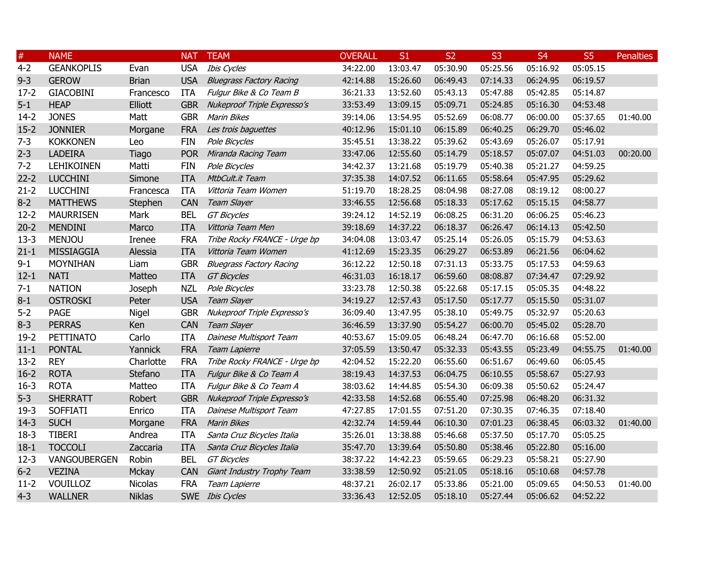| $\#$     | <b>NAME</b>       |               | <b>NAT</b> | <b>TEAM</b>                     | <b>OVERALL</b> | S1       | S <sub>2</sub> | S <sub>3</sub> | S <sub>4</sub> | S <sub>5</sub> | <b>Penalties</b> |
|----------|-------------------|---------------|------------|---------------------------------|----------------|----------|----------------|----------------|----------------|----------------|------------------|
| $4 - 2$  | <b>GEANKOPLIS</b> | Evan          | <b>USA</b> | <b>Ibis Cycles</b>              | 34:22.00       | 13:03.47 | 05:30.90       | 05:25.56       | 05:16.92       | 05:05.15       |                  |
| $9 - 3$  | <b>GEROW</b>      | <b>Brian</b>  | <b>USA</b> | <b>Bluegrass Factory Racing</b> | 42:14.88       | 15:26.60 | 06:49.43       | 07:14.33       | 06:24.95       | 06:19.57       |                  |
| $17 - 2$ | <b>GIACOBINI</b>  | Francesco     | <b>ITA</b> | Fulgur Bike & Co Team B         | 36:21.33       | 13:52.60 | 05:43.13       | 05:47.88       | 05:42.85       | 05:14.87       |                  |
| $5 - 1$  | <b>HEAP</b>       | Elliott       | <b>GBR</b> | Nukeproof Triple Expresso's     | 33:53.49       | 13:09.15 | 05:09.71       | 05:24.85       | 05:16.30       | 04:53.48       |                  |
| $14-2$   | <b>JONES</b>      | Matt          | <b>GBR</b> | <b>Marin Bikes</b>              | 39:14.06       | 13:54.95 | 05:52.69       | 06:08.77       | 06:00.00       | 05:37.65       | 01:40.00         |
| $15 - 2$ | <b>JONNIER</b>    | Morgane       | <b>FRA</b> | Les trois baguettes             | 40:12.96       | 15:01.10 | 06:15.89       | 06:40.25       | 06:29.70       | 05:46.02       |                  |
| $7 - 3$  | <b>KOKKONEN</b>   | Leo           | <b>FIN</b> | Pole Bicycles                   | 35:45.51       | 13:38.22 | 05:39.62       | 05:43.69       | 05:26.07       | 05:17.91       |                  |
| $2 - 3$  | <b>LADEIRA</b>    | Tiago         | <b>POR</b> | Miranda Racing Team             | 33:47.06       | 12:55.60 | 05:14.79       | 05:18.57       | 05:07.07       | 04:51.03       | 00:20.00         |
| $7 - 2$  | <b>LEHIKOINEN</b> | Matti         | <b>FIN</b> | Pole Bicycles                   | 34:42.37       | 13:21.68 | 05:19.79       | 05:40.38       | 05:21.27       | 04:59.25       |                  |
| $22 - 2$ | <b>LUCCHINI</b>   | Simone        | <b>ITA</b> | MtbCult.it Team                 | 37:35.38       | 14:07.52 | 06:11.65       | 05:58.64       | 05:47.95       | 05:29.62       |                  |
| $21 - 2$ | <b>LUCCHINI</b>   | Francesca     | <b>ITA</b> | Vittoria Team Women             | 51:19.70       | 18:28.25 | 08:04.98       | 08:27.08       | 08:19.12       | 08:00.27       |                  |
| $8 - 2$  | <b>MATTHEWS</b>   | Stephen       | <b>CAN</b> | Team Slayer                     | 33:46.55       | 12:56.68 | 05:18.33       | 05:17.62       | 05:15.15       | 04:58.77       |                  |
| $12 - 2$ | <b>MAURRISEN</b>  | Mark          | <b>BEL</b> | <b>GT Bicycles</b>              | 39:24.12       | 14:52.19 | 06:08.25       | 06:31.20       | 06:06.25       | 05:46.23       |                  |
| $20 - 2$ | <b>MENDINI</b>    | Marco         | <b>ITA</b> | Vittoria Team Men               | 39:18.69       | 14:37.22 | 06:18.37       | 06:26.47       | 06:14.13       | 05:42.50       |                  |
| $13-3$   | <b>MENJOU</b>     | <b>Irenee</b> | <b>FRA</b> | Tribe Rocky FRANCE - Urge bp    | 34:04.08       | 13:03.47 | 05:25.14       | 05:26.05       | 05:15.79       | 04:53.63       |                  |
| $21 - 1$ | MISSIAGGIA        | Alessia       | <b>ITA</b> | Vittoria Team Women             | 41:12.69       | 15:23.35 | 06:29.27       | 06:53.89       | 06:21.56       | 06:04.62       |                  |
| $9 - 1$  | <b>MOYNIHAN</b>   | Liam          | <b>GBR</b> | <b>Bluegrass Factory Racing</b> | 36:12.22       | 12:50.18 | 07:31.13       | 05:33.75       | 05:17.53       | 04:59.63       |                  |
| $12 - 1$ | <b>NATI</b>       | Matteo        | <b>ITA</b> | <b>GT Bicycles</b>              | 46:31.03       | 16:18.17 | 06:59.60       | 08:08.87       | 07:34.47       | 07:29.92       |                  |
| $7 - 1$  | <b>NATION</b>     | Joseph        | <b>NZL</b> | Pole Bicycles                   | 33:23.78       | 12:50.38 | 05:22.68       | 05:17.15       | 05:05.35       | 04:48.22       |                  |
| $8 - 1$  | <b>OSTROSKI</b>   | Peter         | <b>USA</b> | Team Slayer                     | 34:19.27       | 12:57.43 | 05:17.50       | 05:17.77       | 05:15.50       | 05:31.07       |                  |
| $5 - 2$  | <b>PAGE</b>       | Nigel         | <b>GBR</b> | Nukeproof Triple Expresso's     | 36:09.40       | 13:47.95 | 05:38.10       | 05:49.75       | 05:32.97       | 05:20.63       |                  |
| $8 - 3$  | <b>PERRAS</b>     | Ken           | <b>CAN</b> | Team Slayer                     | 36:46.59       | 13:37.90 | 05:54.27       | 06:00.70       | 05:45.02       | 05:28.70       |                  |
| $19-2$   | <b>PETTINATO</b>  | Carlo         | <b>ITA</b> | Dainese Multisport Team         | 40:53.67       | 15:09.05 | 06:48.24       | 06:47.70       | 06:16.68       | 05:52.00       |                  |
| $11 - 1$ | <b>PONTAL</b>     | Yannick       | <b>FRA</b> | Team Lapierre                   | 37:05.59       | 13:50.47 | 05:32.33       | 05:43.55       | 05:23.49       | 04:55.75       | 01:40.00         |
| $13 - 2$ | <b>REY</b>        | Charlotte     | <b>FRA</b> | Tribe Rocky FRANCE - Urge bp    | 42:04.52       | 15:22.20 | 06:55.60       | 06:51.67       | 06:49.60       | 06:05.45       |                  |
| $16 - 2$ | <b>ROTA</b>       | Stefano       | <b>ITA</b> | Fulgur Bike & Co Team A         | 38:19.43       | 14:37.53 | 06:04.75       | 06:10.55       | 05:58.67       | 05:27.93       |                  |
| $16 - 3$ | <b>ROTA</b>       | Matteo        | ITA        | Fulgur Bike & Co Team A         | 38:03.62       | 14:44.85 | 05:54.30       | 06:09.38       | 05:50.62       | 05:24.47       |                  |
| $5 - 3$  | <b>SHERRATT</b>   | Robert        | <b>GBR</b> | Nukeproof Triple Expresso's     | 42:33.58       | 14:52.68 | 06:55.40       | 07:25.98       | 06:48.20       | 06:31.32       |                  |
| $19-3$   | <b>SOFFIATI</b>   | Enrico        | <b>ITA</b> | Dainese Multisport Team         | 47:27.85       | 17:01.55 | 07:51.20       | 07:30.35       | 07:46.35       | 07:18.40       |                  |
| $14-3$   | <b>SUCH</b>       | Morgane       | <b>FRA</b> | <b>Marin Bikes</b>              | 42:32.74       | 14:59.44 | 06:10.30       | 07:01.23       | 06:38.45       | 06:03.32       | 01:40.00         |
| $18-3$   | <b>TIBERI</b>     | Andrea        | <b>ITA</b> | Santa Cruz Bicycles Italia      | 35:26.01       | 13:38.88 | 05:46.68       | 05:37.50       | 05:17.70       | 05:05.25       |                  |
| $18-1$   | <b>TOCCOLI</b>    | Zaccaria      | <b>ITA</b> | Santa Cruz Bicycles Italia      | 35:47.70       | 13:39.64 | 05:50.80       | 05:38.46       | 05:22.80       | 05:16.00       |                  |
| $12 - 3$ | VANGOUBERGEN      | Robin         | <b>BEL</b> | <b>GT Bicycles</b>              | 38:37.22       | 14:42.23 | 05:59.65       | 06:29.23       | 05:58.21       | 05:27.90       |                  |
| $6 - 2$  | <b>VEZINA</b>     | Mckay         | <b>CAN</b> | Giant Industry Trophy Team      | 33:38.59       | 12:50.92 | 05:21.05       | 05:18.16       | 05:10.68       | 04:57.78       |                  |
| $11-2$   | VOUILLOZ          | Nicolas       | <b>FRA</b> | Team Lapierre                   | 48:37.21       | 26:02.17 | 05:33.86       | 05:21.00       | 05:09.65       | 04:50.53       | 01:40.00         |
| $4 - 3$  | <b>WALLNER</b>    | <b>Niklas</b> |            | SWE Ibis Cycles                 | 33:36.43       | 12:52.05 | 05:18.10       | 05:27.44       | 05:06.62       | 04:52.22       |                  |